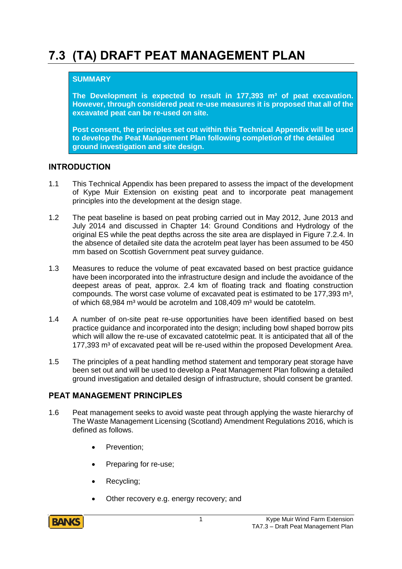# **7.3 (TA) DRAFT PEAT MANAGEMENT PLAN**

#### **SUMMARY**

**The Development is expected to result in 177,393 m³ of peat excavation. However, through considered peat re-use measures it is proposed that all of the excavated peat can be re-used on site.**

**Post consent, the principles set out within this Technical Appendix will be used to develop the Peat Management Plan following completion of the detailed ground investigation and site design.**

#### **INTRODUCTION**

- 1.1 This Technical Appendix has been prepared to assess the impact of the development of Kype Muir Extension on existing peat and to incorporate peat management principles into the development at the design stage.
- 1.2 The peat baseline is based on peat probing carried out in May 2012, June 2013 and July 2014 and discussed in Chapter 14: Ground Conditions and Hydrology of the original ES while the peat depths across the site area are displayed in Figure 7.2.4. In the absence of detailed site data the acrotelm peat layer has been assumed to be 450 mm based on Scottish Government peat survey guidance.
- 1.3 Measures to reduce the volume of peat excavated based on best practice guidance have been incorporated into the infrastructure design and include the avoidance of the deepest areas of peat, approx. 2.4 km of floating track and floating construction compounds. The worst case volume of excavated peat is estimated to be  $177.393 \text{ m}^3$ . of which 68,984 m<sup>3</sup> would be acrotelm and 108,409 m<sup>3</sup> would be catotelm.
- 1.4 A number of on-site peat re-use opportunities have been identified based on best practice guidance and incorporated into the design; including bowl shaped borrow pits which will allow the re-use of excavated catotelmic peat. It is anticipated that all of the 177,393 m<sup>3</sup> of excavated peat will be re-used within the proposed Development Area.
- 1.5 The principles of a peat handling method statement and temporary peat storage have been set out and will be used to develop a Peat Management Plan following a detailed ground investigation and detailed design of infrastructure, should consent be granted.

#### **PEAT MANAGEMENT PRINCIPLES**

- 1.6 Peat management seeks to avoid waste peat through applying the waste hierarchy of The Waste Management Licensing (Scotland) Amendment Regulations 2016, which is defined as follows.
	- Prevention;
	- Preparing for re-use;
	- Recycling;
	- Other recovery e.g. energy recovery; and

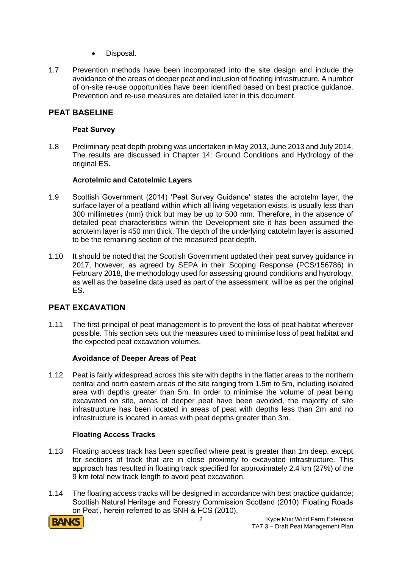- Disposal.
- 1.7 Prevention methods have been incorporated into the site design and include the avoidance of the areas of deeper peat and inclusion of floating infrastructure. A number of on-site re-use opportunities have been identified based on best practice guidance. Prevention and re-use measures are detailed later in this document.

## **PEAT BASELINE**

#### **Peat Survey**

1.8 Preliminary peat depth probing was undertaken in May 2013, June 2013 and July 2014. The results are discussed in Chapter 14: Ground Conditions and Hydrology of the original ES.

#### **Acrotelmic and Catotelmic Layers**

- 1.9 Scottish Government (2014) 'Peat Survey Guidance' states the acrotelm layer, the surface layer of a peatland within which all living vegetation exists, is usually less than 300 millimetres (mm) thick but may be up to 500 mm. Therefore, in the absence of detailed peat characteristics within the Development site it has been assumed the acrotelm layer is 450 mm thick. The depth of the underlying catotelm layer is assumed to be the remaining section of the measured peat depth.
- 1.10 It should be noted that the Scottish Government updated their peat survey guidance in 2017, however, as agreed by SEPA in their Scoping Response (PCS/156786) in February 2018, the methodology used for assessing ground conditions and hydrology, as well as the baseline data used as part of the assessment, will be as per the original ES.

# **PEAT EXCAVATION**

1.11 The first principal of peat management is to prevent the loss of peat habitat wherever possible. This section sets out the measures used to minimise loss of peat habitat and the expected peat excavation volumes.

#### **Avoidance of Deeper Areas of Peat**

1.12 Peat is fairly widespread across this site with depths in the flatter areas to the northern central and north eastern areas of the site ranging from 1.5m to 5m, including isolated area with depths greater than 5m. In order to minimise the volume of peat being excavated on site, areas of deeper peat have been avoided, the majority of site infrastructure has been located in areas of peat with depths less than 2m and no infrastructure is located in areas with peat depths greater than 3m.

#### **Floating Access Tracks**

- 1.13 Floating access track has been specified where peat is greater than 1m deep, except for sections of track that are in close proximity to excavated infrastructure. This approach has resulted in floating track specified for approximately 2.4 km (27%) of the 9 km total new track length to avoid peat excavation.
- 1.14 The floating access tracks will be designed in accordance with best practice guidance; Scottish Natural Heritage and Forestry Commission Scotland (2010) 'Floating Roads on Peat', herein referred to as SNH & FCS (2010).

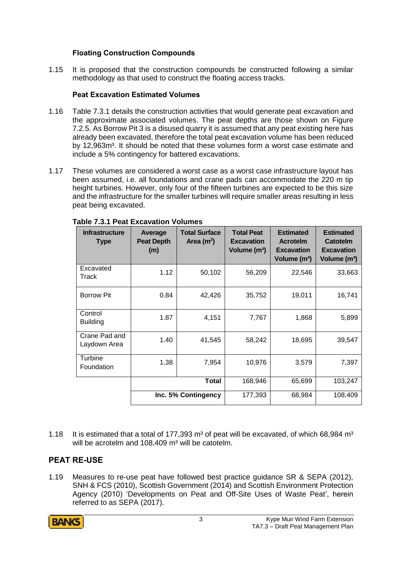## **Floating Construction Compounds**

1.15 It is proposed that the construction compounds be constructed following a similar methodology as that used to construct the floating access tracks.

### **Peat Excavation Estimated Volumes**

- 1.16 Table 7.3.1 details the construction activities that would generate peat excavation and the approximate associated volumes. The peat depths are those shown on Figure 7.2.5. As Borrow Pit 3 is a disused quarry it is assumed that any peat existing here has already been excavated, therefore the total peat excavation volume has been reduced by 12,963m<sup>3</sup>. It should be noted that these volumes form a worst case estimate and include a 5% contingency for battered excavations.
- 1.17 These volumes are considered a worst case as a worst case infrastructure layout has been assumed, i.e. all foundations and crane pads can accommodate the 220 m tip height turbines. However, only four of the fifteen turbines are expected to be this size and the infrastructure for the smaller turbines will require smaller areas resulting in less peat being excavated.

| <b>Infrastructure</b><br><b>Type</b> | Average<br><b>Peat Depth</b><br>(m) | <b>Total Surface</b><br>Area $(m^2)$ | <b>Total Peat</b><br><b>Excavation</b><br>Volume (m <sup>3</sup> ) | <b>Estimated</b><br><b>Acrotelm</b><br><b>Excavation</b><br>Volume (m <sup>3</sup> ) | <b>Estimated</b><br><b>Catotelm</b><br><b>Excavation</b><br>Volume (m <sup>3</sup> ) |
|--------------------------------------|-------------------------------------|--------------------------------------|--------------------------------------------------------------------|--------------------------------------------------------------------------------------|--------------------------------------------------------------------------------------|
| Excavated<br>Track                   | 1.12                                | 50,102                               | 56,209                                                             | 22,546                                                                               | 33,663                                                                               |
| <b>Borrow Pit</b>                    | 0.84                                | 42,426                               | 35,752                                                             | 19,011                                                                               | 16,741                                                                               |
| Control<br><b>Building</b>           | 1.87                                | 4,151                                | 7,767                                                              | 1,868                                                                                | 5,899                                                                                |
| Crane Pad and<br>Laydown Area        | 1.40                                | 41,545                               | 58,242                                                             | 18,695                                                                               | 39,547                                                                               |
| Turbine<br>Foundation                | 1.38                                | 7,954                                | 10,976                                                             | 3,579                                                                                | 7,397                                                                                |
|                                      |                                     | <b>Total</b>                         | 168,946                                                            | 65,699                                                                               | 103,247                                                                              |
|                                      | Inc. 5% Contingency                 |                                      | 177,393                                                            | 68,984                                                                               | 108,409                                                                              |

#### **Table 7.3.1 Peat Excavation Volumes**

1.18 It is estimated that a total of 177.393  $\text{m}^3$  of peat will be excavated, of which 68,984  $\text{m}^3$ will be acrotelm and  $108,409$  m<sup>3</sup> will be catotelm.

# **PEAT RE-USE**

1.19 Measures to re-use peat have followed best practice guidance SR & SEPA (2012), SNH & FCS (2010), Scottish Government (2014) and Scottish Environment Protection Agency (2010) 'Developments on Peat and Off-Site Uses of Waste Peat', herein referred to as SEPA (2017).

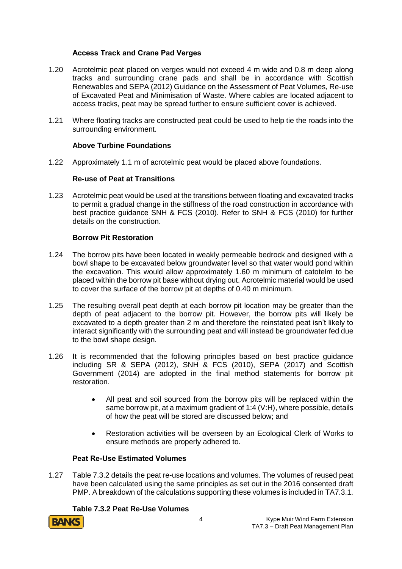#### **Access Track and Crane Pad Verges**

- 1.20 Acrotelmic peat placed on verges would not exceed 4 m wide and 0.8 m deep along tracks and surrounding crane pads and shall be in accordance with Scottish Renewables and SEPA (2012) Guidance on the Assessment of Peat Volumes, Re-use of Excavated Peat and Minimisation of Waste. Where cables are located adjacent to access tracks, peat may be spread further to ensure sufficient cover is achieved.
- 1.21 Where floating tracks are constructed peat could be used to help tie the roads into the surrounding environment.

#### **Above Turbine Foundations**

1.22 Approximately 1.1 m of acrotelmic peat would be placed above foundations.

#### **Re-use of Peat at Transitions**

1.23 Acrotelmic peat would be used at the transitions between floating and excavated tracks to permit a gradual change in the stiffness of the road construction in accordance with best practice guidance SNH & FCS (2010). Refer to SNH & FCS (2010) for further details on the construction.

#### **Borrow Pit Restoration**

- 1.24 The borrow pits have been located in weakly permeable bedrock and designed with a bowl shape to be excavated below groundwater level so that water would pond within the excavation. This would allow approximately 1.60 m minimum of catotelm to be placed within the borrow pit base without drying out. Acrotelmic material would be used to cover the surface of the borrow pit at depths of 0.40 m minimum.
- 1.25 The resulting overall peat depth at each borrow pit location may be greater than the depth of peat adjacent to the borrow pit. However, the borrow pits will likely be excavated to a depth greater than 2 m and therefore the reinstated peat isn't likely to interact significantly with the surrounding peat and will instead be groundwater fed due to the bowl shape design.
- 1.26 It is recommended that the following principles based on best practice guidance including SR & SEPA (2012), SNH & FCS (2010), SEPA (2017) and Scottish Government (2014) are adopted in the final method statements for borrow pit restoration.
	- All peat and soil sourced from the borrow pits will be replaced within the same borrow pit, at a maximum gradient of 1:4 (V:H), where possible, details of how the peat will be stored are discussed below; and
	- Restoration activities will be overseen by an Ecological Clerk of Works to ensure methods are properly adhered to.

#### **Peat Re-Use Estimated Volumes**

1.27 Table 7.3.2 details the peat re-use locations and volumes. The volumes of reused peat have been calculated using the same principles as set out in the 2016 consented draft PMP. A breakdown of the calculations supporting these volumes is included in TA7.3.1.

#### **Table 7.3.2 Peat Re-Use Volumes**

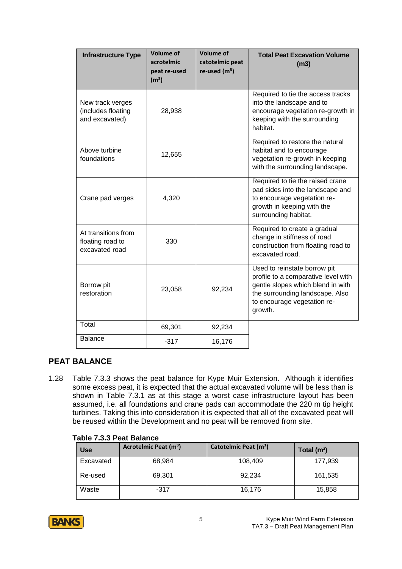| <b>Infrastructure Type</b>                                | <b>Volume of</b><br>acrotelmic<br>peat re-used<br>(m <sup>3</sup> ) | <b>Volume of</b><br>catotelmic peat<br>re-used $(m3)$ | <b>Total Peat Excavation Volume</b><br>(m3)                                                                                                                                           |
|-----------------------------------------------------------|---------------------------------------------------------------------|-------------------------------------------------------|---------------------------------------------------------------------------------------------------------------------------------------------------------------------------------------|
| New track verges<br>(includes floating<br>and excavated)  | 28,938                                                              |                                                       | Required to tie the access tracks<br>into the landscape and to<br>encourage vegetation re-growth in<br>keeping with the surrounding<br>habitat.                                       |
| Above turbine<br>foundations                              | 12,655                                                              |                                                       | Required to restore the natural<br>habitat and to encourage<br>vegetation re-growth in keeping<br>with the surrounding landscape.                                                     |
| Crane pad verges                                          | 4,320                                                               |                                                       | Required to tie the raised crane<br>pad sides into the landscape and<br>to encourage vegetation re-<br>growth in keeping with the<br>surrounding habitat.                             |
| At transitions from<br>floating road to<br>excavated road | 330                                                                 |                                                       | Required to create a gradual<br>change in stiffness of road<br>construction from floating road to<br>excavated road.                                                                  |
| Borrow pit<br>restoration                                 | 23,058                                                              | 92,234                                                | Used to reinstate borrow pit<br>profile to a comparative level with<br>gentle slopes which blend in with<br>the surrounding landscape. Also<br>to encourage vegetation re-<br>growth. |
| Total                                                     | 69,301                                                              | 92,234                                                |                                                                                                                                                                                       |
| <b>Balance</b>                                            | $-317$                                                              | 16,176                                                |                                                                                                                                                                                       |

# **PEAT BALANCE**

1.28 Table 7.3.3 shows the peat balance for Kype Muir Extension. Although it identifies some excess peat, it is expected that the actual excavated volume will be less than is shown in Table 7.3.1 as at this stage a worst case infrastructure layout has been assumed, i.e. all foundations and crane pads can accommodate the 220 m tip height turbines. Taking this into consideration it is expected that all of the excavated peat will be reused within the Development and no peat will be removed from site.

#### **Table 7.3.3 Peat Balance**

| <b>Use</b> | Acrotelmic Peat (m <sup>3</sup> ) | Catotelmic Peat (m <sup>3</sup> ) | Total $(m^3)$ |
|------------|-----------------------------------|-----------------------------------|---------------|
| Excavated  | 68,984                            | 108,409                           | 177,939       |
| Re-used    | 69,301                            | 92,234                            | 161,535       |
| Waste      | $-317$                            | 16,176                            | 15,858        |

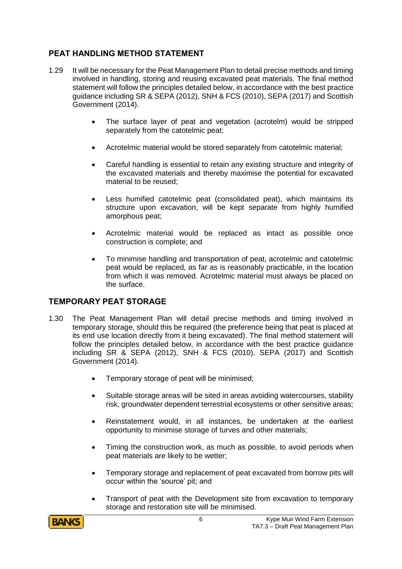# **PEAT HANDLING METHOD STATEMENT**

- 1.29 It will be necessary for the Peat Management Plan to detail precise methods and timing involved in handling, storing and reusing excavated peat materials. The final method statement will follow the principles detailed below, in accordance with the best practice guidance including SR & SEPA (2012), SNH & FCS (2010), SEPA (2017) and Scottish Government (2014).
	- The surface layer of peat and vegetation (acrotelm) would be stripped separately from the catotelmic peat;
	- Acrotelmic material would be stored separately from catotelmic material;
	- Careful handling is essential to retain any existing structure and integrity of the excavated materials and thereby maximise the potential for excavated material to be reused;
	- Less humified catotelmic peat (consolidated peat), which maintains its structure upon excavation, will be kept separate from highly humified amorphous peat;
	- Acrotelmic material would be replaced as intact as possible once construction is complete; and
	- To minimise handling and transportation of peat, acrotelmic and catotelmic peat would be replaced, as far as is reasonably practicable, in the location from which it was removed. Acrotelmic material must always be placed on the surface.

### **TEMPORARY PEAT STORAGE**

- 1.30 The Peat Management Plan will detail precise methods and timing involved in temporary storage, should this be required (the preference being that peat is placed at its end use location directly from it being excavated). The final method statement will follow the principles detailed below, in accordance with the best practice guidance including SR & SEPA (2012), SNH & FCS (2010), SEPA (2017) and Scottish Government (2014).
	- Temporary storage of peat will be minimised;
	- Suitable storage areas will be sited in areas avoiding watercourses, stability risk, groundwater dependent terrestrial ecosystems or other sensitive areas;
	- Reinstatement would, in all instances, be undertaken at the earliest opportunity to minimise storage of turves and other materials;
	- Timing the construction work, as much as possible, to avoid periods when peat materials are likely to be wetter;
	- Temporary storage and replacement of peat excavated from borrow pits will occur within the 'source' pit; and
	- Transport of peat with the Development site from excavation to temporary storage and restoration site will be minimised.